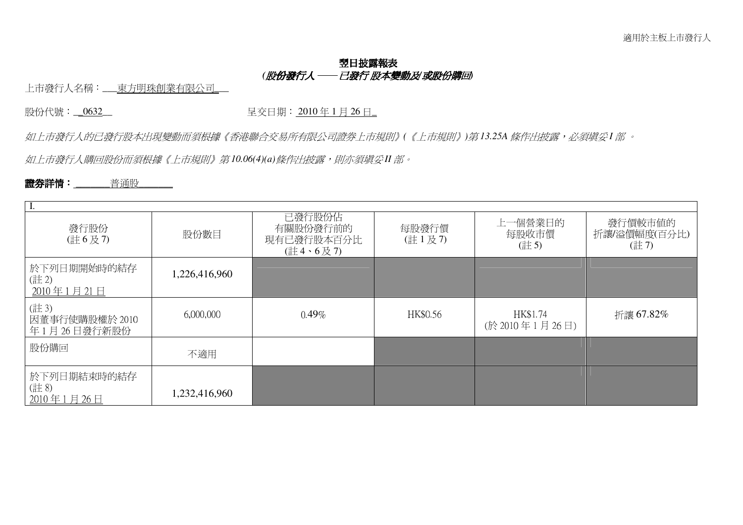# !"#\$% *(* !"#\$ %% &"# '()\**/*+ !,-*)*

上市發行人名稱:\_\_\_東方明珠創業有限公司\_

股份代號:<u>\_0632</u>\_ http://en.com/default.com/default.com/default.com/default.com/default.com/default.com/default.com/

如上市發行人的已發行股本出現變動而須根據《香港聯合交易所有限公司證券上市規則》(《上市規則》)第13.25A 條作出披露,必須填妥I 部 。

.<br>如上市發行人購回股份而須根據《上市規則》第10.06(4)(a)條作出披露,則亦須塡妥II 部。

### &'()\* **\_\_\_\_\_\_\_**<=2**\_\_\_\_\_\_\_**

| 發行股份<br>(註6及7)                        | 股份數目          | 已發行股份佔<br>有關股份發行前的<br>現有已發行股本百分比<br>$($ 註 4、6 及 7) | 每股發行價<br>(註1及7) | 上一個營業日的<br>每股收市價<br>(註5)   | 發行價較市值的<br>折讓/溢價幅度(百分比)<br>(註7) |  |  |  |
|---------------------------------------|---------------|----------------------------------------------------|-----------------|----------------------------|---------------------------------|--|--|--|
| 於下列日期開始時的結存<br>(註2)<br>2010年1月21日     | 1,226,416,960 |                                                    |                 |                            |                                 |  |  |  |
| (註3)<br>因董事行使購股權於 2010<br>年1月26日發行新股份 | 6,000,000     | $0.49\%$                                           | HK\$0.56        | HK\$1.74<br>(於 2010年1月26日) | 折讓 67.82%                       |  |  |  |
| 股份購回                                  | 不適用           |                                                    |                 |                            |                                 |  |  |  |
| 於下列日期結束時的結存<br>(註8)<br>2010年1月26日     | 1,232,416,960 |                                                    |                 |                            |                                 |  |  |  |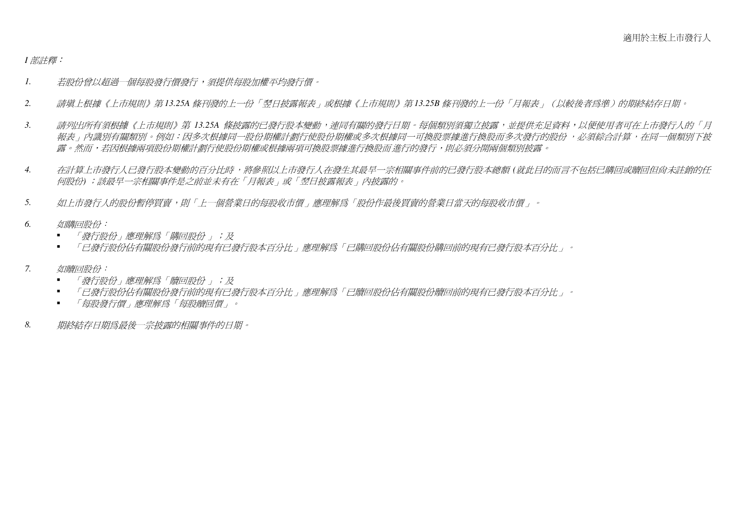#### 1部註釋:

- 若股份曾以紹渦一個每股發行價發行,須提供每股加權平均發行價。  $\mathcal{I}$ .
- 請塡上根據《上市規則》第13.25A 條刊發的上一份「翌日披露報表」或根據《上市規則》第13.25B 條刊發的上一份「月報表」(以較後者爲進)的期終結存日期。 2.
- 請列出所有須根據《上市規則》第 13.25A 條披露的已發行股本變動,連同有關的發行日期。每個類別須獨立披露,並提供充足資料,以便使用者可在上市發行人的「月  $\mathfrak{Z}$ . 報表,內識別有關類別。例如:因多次根據同一股份期權計劃行使股份期權或多次根據同一可換股票據進行換股而多次發行的股份,必須綜合計算,在同一個類別下披 露。然而,若因根據兩項股份期權計劃行使股份期權或根據兩項可換股票據進行換股而進行的發行,則必須分開兩個類別披露。
- 在計算上市發行人已發行股本變動的百分比時,將參照以上市發行人在發生其最早一宗相關事件前的已發行股本總額 (就此目的而言不包括已購回或贖回但尙未註銷的任 4. 何股份);該最早一宗相關事件是之前並未有在「月報表」或「翌日披露報表」內披露的。
- 如上市發行人的股份暫停買賣,則「上一個營業日的每股收市價」應理解爲「股份作最後買賣的營業日當天的每股收市價」。  $5<sub>1</sub>$
- 如購回股份: 6
	- 「發行股份」應理解爲「購回股份」;及
	- 「已發行股份佔有關股份發行前的現有已發行股本百分比」應理解爲「已購回股份佔有關股份購回前的現有已發行股本百分比」。
- 如贖回股份:  $7<sub>1</sub>$ 
	- 「發行股份」應理解爲「贖同股份」;及
	- 「已發行股份佔有關股份發行前的現有已發行股本百分比」應理解爲「已贖回股份佔有關股份贖回前的現有已發行股本百分比」。  $\blacksquare$
	- 「每股發行價」應理解爲「每股贖回價」。
- 期終結存日期爲最後一宗披露的相關事件的日期。 8.